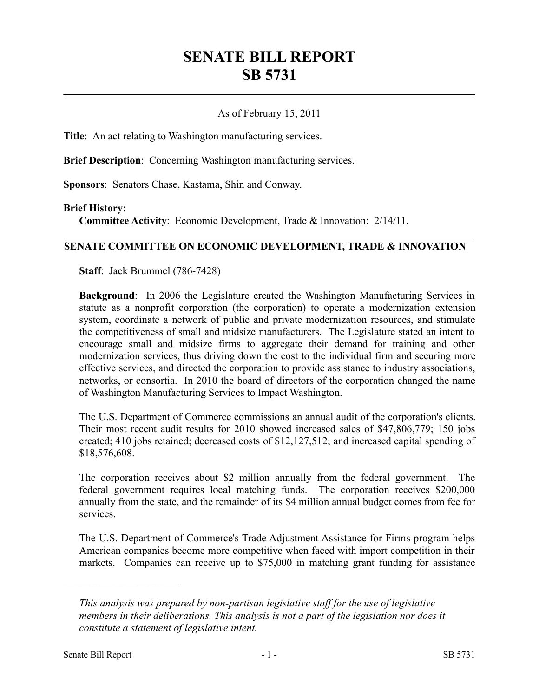# **SENATE BILL REPORT SB 5731**

## As of February 15, 2011

**Title**: An act relating to Washington manufacturing services.

**Brief Description**: Concerning Washington manufacturing services.

**Sponsors**: Senators Chase, Kastama, Shin and Conway.

#### **Brief History:**

**Committee Activity**: Economic Development, Trade & Innovation: 2/14/11.

### **SENATE COMMITTEE ON ECONOMIC DEVELOPMENT, TRADE & INNOVATION**

**Staff**: Jack Brummel (786-7428)

**Background**: In 2006 the Legislature created the Washington Manufacturing Services in statute as a nonprofit corporation (the corporation) to operate a modernization extension system, coordinate a network of public and private modernization resources, and stimulate the competitiveness of small and midsize manufacturers. The Legislature stated an intent to encourage small and midsize firms to aggregate their demand for training and other modernization services, thus driving down the cost to the individual firm and securing more effective services, and directed the corporation to provide assistance to industry associations, networks, or consortia. In 2010 the board of directors of the corporation changed the name of Washington Manufacturing Services to Impact Washington.

The U.S. Department of Commerce commissions an annual audit of the corporation's clients. Their most recent audit results for 2010 showed increased sales of \$47,806,779; 150 jobs created; 410 jobs retained; decreased costs of \$12,127,512; and increased capital spending of \$18,576,608.

The corporation receives about \$2 million annually from the federal government. The federal government requires local matching funds. The corporation receives \$200,000 annually from the state, and the remainder of its \$4 million annual budget comes from fee for services.

The U.S. Department of Commerce's Trade Adjustment Assistance for Firms program helps American companies become more competitive when faced with import competition in their markets. Companies can receive up to \$75,000 in matching grant funding for assistance

––––––––––––––––––––––

*This analysis was prepared by non-partisan legislative staff for the use of legislative members in their deliberations. This analysis is not a part of the legislation nor does it constitute a statement of legislative intent.*